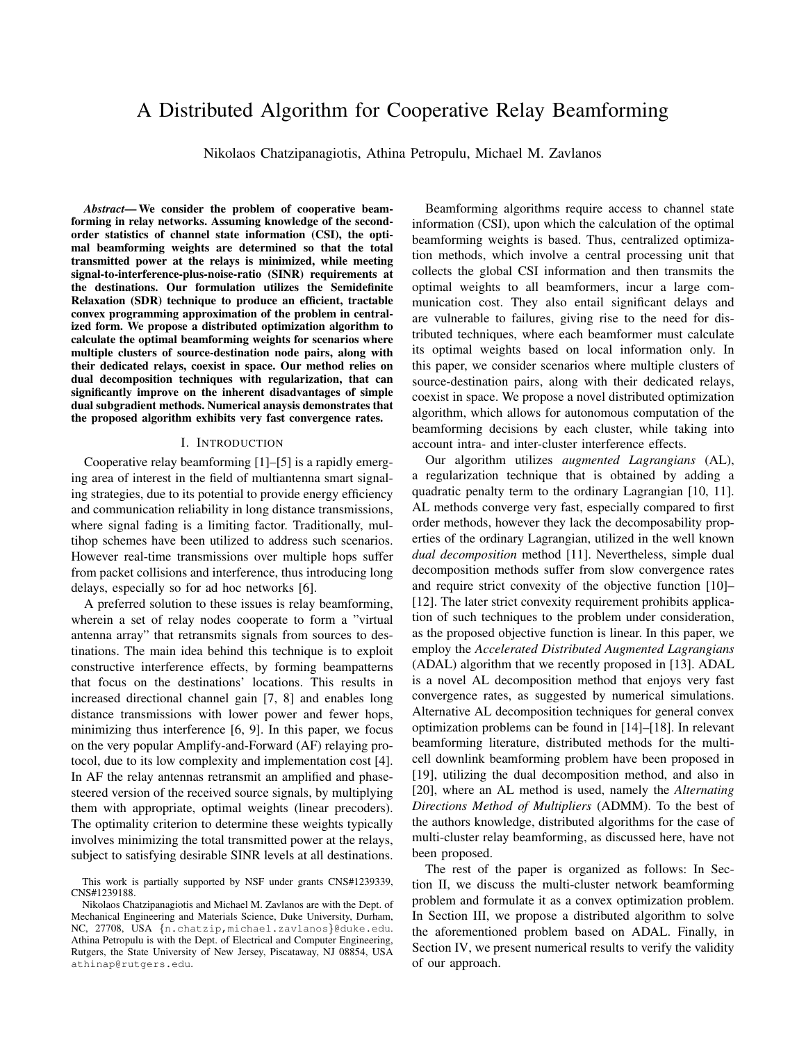# A Distributed Algorithm for Cooperative Relay Beamforming

Nikolaos Chatzipanagiotis, Athina Petropulu, Michael M. Zavlanos

*Abstract*— We consider the problem of cooperative beamforming in relay networks. Assuming knowledge of the secondorder statistics of channel state information (CSI), the optimal beamforming weights are determined so that the total transmitted power at the relays is minimized, while meeting signal-to-interference-plus-noise-ratio (SINR) requirements at the destinations. Our formulation utilizes the Semidefinite Relaxation (SDR) technique to produce an efficient, tractable convex programming approximation of the problem in centralized form. We propose a distributed optimization algorithm to calculate the optimal beamforming weights for scenarios where multiple clusters of source-destination node pairs, along with their dedicated relays, coexist in space. Our method relies on dual decomposition techniques with regularization, that can significantly improve on the inherent disadvantages of simple dual subgradient methods. Numerical anaysis demonstrates that the proposed algorithm exhibits very fast convergence rates.

#### I. INTRODUCTION

Cooperative relay beamforming [1]–[5] is a rapidly emerging area of interest in the field of multiantenna smart signaling strategies, due to its potential to provide energy efficiency and communication reliability in long distance transmissions, where signal fading is a limiting factor. Traditionally, multihop schemes have been utilized to address such scenarios. However real-time transmissions over multiple hops suffer from packet collisions and interference, thus introducing long delays, especially so for ad hoc networks [6].

A preferred solution to these issues is relay beamforming, wherein a set of relay nodes cooperate to form a "virtual antenna array" that retransmits signals from sources to destinations. The main idea behind this technique is to exploit constructive interference effects, by forming beampatterns that focus on the destinations' locations. This results in increased directional channel gain [7, 8] and enables long distance transmissions with lower power and fewer hops, minimizing thus interference [6, 9]. In this paper, we focus on the very popular Amplify-and-Forward (AF) relaying protocol, due to its low complexity and implementation cost [4]. In AF the relay antennas retransmit an amplified and phasesteered version of the received source signals, by multiplying them with appropriate, optimal weights (linear precoders). The optimality criterion to determine these weights typically involves minimizing the total transmitted power at the relays, subject to satisfying desirable SINR levels at all destinations.

Beamforming algorithms require access to channel state information (CSI), upon which the calculation of the optimal beamforming weights is based. Thus, centralized optimization methods, which involve a central processing unit that collects the global CSI information and then transmits the optimal weights to all beamformers, incur a large communication cost. They also entail significant delays and are vulnerable to failures, giving rise to the need for distributed techniques, where each beamformer must calculate its optimal weights based on local information only. In this paper, we consider scenarios where multiple clusters of source-destination pairs, along with their dedicated relays, coexist in space. We propose a novel distributed optimization algorithm, which allows for autonomous computation of the beamforming decisions by each cluster, while taking into account intra- and inter-cluster interference effects.

Our algorithm utilizes *augmented Lagrangians* (AL), a regularization technique that is obtained by adding a quadratic penalty term to the ordinary Lagrangian [10, 11]. AL methods converge very fast, especially compared to first order methods, however they lack the decomposability properties of the ordinary Lagrangian, utilized in the well known *dual decomposition* method [11]. Nevertheless, simple dual decomposition methods suffer from slow convergence rates and require strict convexity of the objective function [10]– [12]. The later strict convexity requirement prohibits application of such techniques to the problem under consideration, as the proposed objective function is linear. In this paper, we employ the *Accelerated Distributed Augmented Lagrangians* (ADAL) algorithm that we recently proposed in [13]. ADAL is a novel AL decomposition method that enjoys very fast convergence rates, as suggested by numerical simulations. Alternative AL decomposition techniques for general convex optimization problems can be found in [14]–[18]. In relevant beamforming literature, distributed methods for the multicell downlink beamforming problem have been proposed in [19], utilizing the dual decomposition method, and also in [20], where an AL method is used, namely the *Alternating Directions Method of Multipliers* (ADMM). To the best of the authors knowledge, distributed algorithms for the case of multi-cluster relay beamforming, as discussed here, have not been proposed.

The rest of the paper is organized as follows: In Section II, we discuss the multi-cluster network beamforming problem and formulate it as a convex optimization problem. In Section III, we propose a distributed algorithm to solve the aforementioned problem based on ADAL. Finally, in Section IV, we present numerical results to verify the validity of our approach.

This work is partially supported by NSF under grants CNS#1239339, CNS#1239188.

Nikolaos Chatzipanagiotis and Michael M. Zavlanos are with the Dept. of Mechanical Engineering and Materials Science, Duke University, Durham, NC, 27708, USA {n.chatzip,michael.zavlanos}@duke.edu. Athina Petropulu is with the Dept. of Electrical and Computer Engineering, Rutgers, the State University of New Jersey, Piscataway, NJ 08854, USA athinap@rutgers.edu.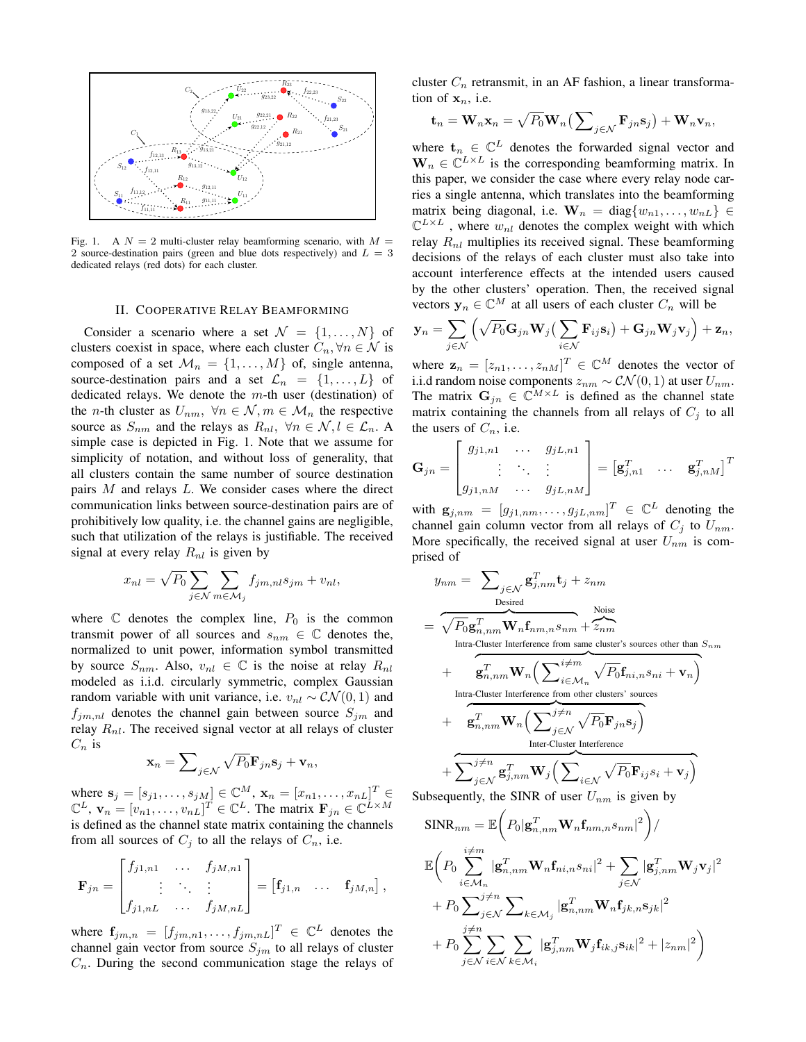

Fig. 1. A  $N = 2$  multi-cluster relay beamforming scenario, with  $M =$ 2 source-destination pairs (green and blue dots respectively) and  $L = 3$ dedicated relays (red dots) for each cluster.

# II. COOPERATIVE RELAY BEAMFORMING

Consider a scenario where a set  $\mathcal{N} = \{1, \ldots, N\}$  of clusters coexist in space, where each cluster  $C_n, \forall n \in \mathcal{N}$  is composed of a set  $\mathcal{M}_n = \{1, \ldots, M\}$  of, single antenna, source-destination pairs and a set  $\mathcal{L}_n = \{1, \ldots, L\}$  of dedicated relays. We denote the  $m$ -th user (destination) of the *n*-th cluster as  $U_{nm}$ ,  $\forall n \in \mathcal{N}, m \in \mathcal{M}_n$  the respective source as  $S_{nm}$  and the relays as  $R_{nl}$ ,  $\forall n \in \mathcal{N}, l \in \mathcal{L}_n$ . A simple case is depicted in Fig. 1. Note that we assume for simplicity of notation, and without loss of generality, that all clusters contain the same number of source destination pairs M and relays L. We consider cases where the direct communication links between source-destination pairs are of prohibitively low quality, i.e. the channel gains are negligible, such that utilization of the relays is justifiable. The received signal at every relay  $R_{nl}$  is given by

$$
x_{nl} = \sqrt{P_0} \sum_{j \in \mathcal{N}} \sum_{m \in \mathcal{M}_j} f_{jm,nl} s_{jm} + v_{nl},
$$

where  $\mathbb C$  denotes the complex line,  $P_0$  is the common transmit power of all sources and  $s_{nm} \in \mathbb{C}$  denotes the, normalized to unit power, information symbol transmitted by source  $S_{nm}$ . Also,  $v_{nl} \in \mathbb{C}$  is the noise at relay  $R_{nl}$ modeled as i.i.d. circularly symmetric, complex Gaussian random variable with unit variance, i.e.  $v_{nl} \sim \mathcal{CN}(0, 1)$  and  $f_{jm,nl}$  denotes the channel gain between source  $S_{jm}$  and relay  $R_{nl}$ . The received signal vector at all relays of cluster  $C_n$  is

$$
\mathbf{x}_n = \sum\nolimits_{j \in \mathcal{N}} \sqrt{P_0} \mathbf{F}_{jn} \mathbf{s}_j + \mathbf{v}_n,
$$

where  $s_j = [s_{j1}, ..., s_{jM}] \in \mathbb{C}^{M}$ ,  $\mathbf{x}_n = [x_{n1}, ..., x_{nL}]^T \in$  $\mathbb{C}^{L}$ ,  $\mathbf{v}_{n} = [v_{n1}, \dots, v_{nL}]^{T} \in \mathbb{C}^{L}$ . The matrix  $\mathbf{F}_{jn} \in \mathbb{C}^{L \times M}$ is defined as the channel state matrix containing the channels from all sources of  $C_j$  to all the relays of  $C_n$ , i.e.

$$
\mathbf{F}_{jn} = \begin{bmatrix} f_{j1,n1} & \cdots & f_{jM,n1} \\ \vdots & \ddots & \vdots \\ f_{j1,nL} & \cdots & f_{jM,nL} \end{bmatrix} = \begin{bmatrix} \mathbf{f}_{j1,n} & \cdots & \mathbf{f}_{jM,n} \end{bmatrix},
$$

where  $\mathbf{f}_{jm,n} = [f_{jm,n1}, \dots, f_{jm,nL}]^T \in \mathbb{C}^L$  denotes the channel gain vector from source  $S_{jm}$  to all relays of cluster  $C_n$ . During the second communication stage the relays of cluster  $C_n$  retransmit, in an AF fashion, a linear transformation of  $x_n$ , i.e.

$$
\mathbf{t}_n = \mathbf{W}_n \mathbf{x}_n = \sqrt{P_0} \mathbf{W}_n \left( \sum\nolimits_{j \in \mathcal{N}} \mathbf{F}_{jn} \mathbf{s}_j \right) + \mathbf{W}_n \mathbf{v}_n,
$$

where  $t_n \in \mathbb{C}^L$  denotes the forwarded signal vector and  $\mathbf{W}_n \in \mathbb{C}^{L \times L}$  is the corresponding beamforming matrix. In this paper, we consider the case where every relay node carries a single antenna, which translates into the beamforming matrix being diagonal, i.e.  $\mathbf{W}_n = \text{diag}\{w_{n1}, \dots, w_{nL}\} \in$  $\mathbb{C}^{L\times L}$  , where  $w_{nl}$  denotes the complex weight with which relay  $R_{nl}$  multiplies its received signal. These beamforming decisions of the relays of each cluster must also take into account interference effects at the intended users caused by the other clusters' operation. Then, the received signal vectors  $y_n \in \mathbb{C}^M$  at all users of each cluster  $C_n$  will be

$$
\mathbf{y}_n = \sum_{j \in \mathcal{N}} \left( \sqrt{P_0} \mathbf{G}_{jn} \mathbf{W}_j \left( \sum_{i \in \mathcal{N}} \mathbf{F}_{ij} \mathbf{s}_i \right) + \mathbf{G}_{jn} \mathbf{W}_j \mathbf{v}_j \right) + \mathbf{z}_n,
$$

where  $\mathbf{z}_n = [z_{n1}, \dots, z_{nM}]^T \in \mathbb{C}^M$  denotes the vector of i.i.d random noise components  $z_{nm}$  ~  $CN(0, 1)$  at user  $U_{nm}$ . The matrix  $G_{jn} \in \mathbb{C}^{M \times L}$  is defined as the channel state matrix containing the channels from all relays of  $C_j$  to all the users of  $C_n$ , i.e.

$$
\mathbf{G}_{jn} = \begin{bmatrix} g_{j1,n1} & \cdots & g_{jL,n1} \\ \vdots & \ddots & \vdots \\ g_{j1,nM} & \cdots & g_{jL,nM} \end{bmatrix} = \begin{bmatrix} \mathbf{g}_{j,n1}^T & \cdots & \mathbf{g}_{j,nM}^T \end{bmatrix}^T
$$

with  $\mathbf{g}_{j,nm} = [g_{j1,nm}, \dots, g_{jL,nm}]^T \in \mathbb{C}^L$  denoting the channel gain column vector from all relays of  $C_j$  to  $U_{nm}$ . More specifically, the received signal at user  $U_{nm}$  is comprised of

$$
y_{nm} = \sum_{j \in \mathcal{N}} \mathbf{g}_{j,nm}^T \mathbf{t}_j + z_{nm}
$$
  
\n
$$
= \sqrt{P_0} \mathbf{g}_{n,nm}^T \mathbf{W}_n \mathbf{f}_{nm,n} s_{nm} + z_{nm}
$$
  
\nIntra-Cluster Interference from same cluster's sources other than  $S_{nm}$   
\n+  $\mathbf{g}_{n,nm}^T \mathbf{W}_n \Big( \sum_{i \in \mathcal{M}_n}^{i \neq m} \sqrt{P_0} \mathbf{f}_{ni,n} s_{ni} + \mathbf{v}_n \Big)$   
\nIntra-Cluster Interference from other clusters' sources  
\n+  $\mathbf{g}_{n,nm}^T \mathbf{W}_n \Big( \sum_{j \in \mathcal{N}}^{j \neq n} \sqrt{P_0} \mathbf{F}_{jn} s_j \Big)$   
\nInter-Cluster Interference  
\n+  $\sum_{j \in \mathcal{N}}^{j \neq n} \mathbf{g}_{j,nm}^T \mathbf{W}_j \Big( \sum_{i \in \mathcal{N}} \sqrt{P_0} \mathbf{F}_{ij} s_i + \mathbf{v}_j \Big)$ 

Subsequently, the SINR of user  $U_{nm}$  is given by

$$
\begin{split} &\text{SINR}_{nm} = \mathbb{E}\bigg(P_0|\mathbf{g}_{n,nm}^T \mathbf{W}_n \mathbf{f}_{nm,n} s_{nm}|^2\bigg) / \\ &\mathbb{E}\bigg(P_0 \sum_{i \in \mathcal{M}_n}^{\substack{i \neq m}} |\mathbf{g}_{n,nm}^T \mathbf{W}_n \mathbf{f}_{ni,n} s_{ni}|^2 + \sum_{j \in \mathcal{N}} |\mathbf{g}_{j,nm}^T \mathbf{W}_j \mathbf{v}_j|^2 \\ &+ P_0 \sum_{j \in \mathcal{N}}^{\substack{j \neq n}} \sum_{k \in \mathcal{M}_j} |\mathbf{g}_{n,nm}^T \mathbf{W}_n \mathbf{f}_{jk,n} s_{jk}|^2 \\ &+ P_0 \sum_{j \in \mathcal{N}}^{\substack{j \neq n}} \sum_{i \in \mathcal{N}} \sum_{k \in \mathcal{M}_i} |\mathbf{g}_{j,nm}^T \mathbf{W}_j \mathbf{f}_{ik,j} s_{ik}|^2 + |z_{nm}|^2\bigg) \end{split}
$$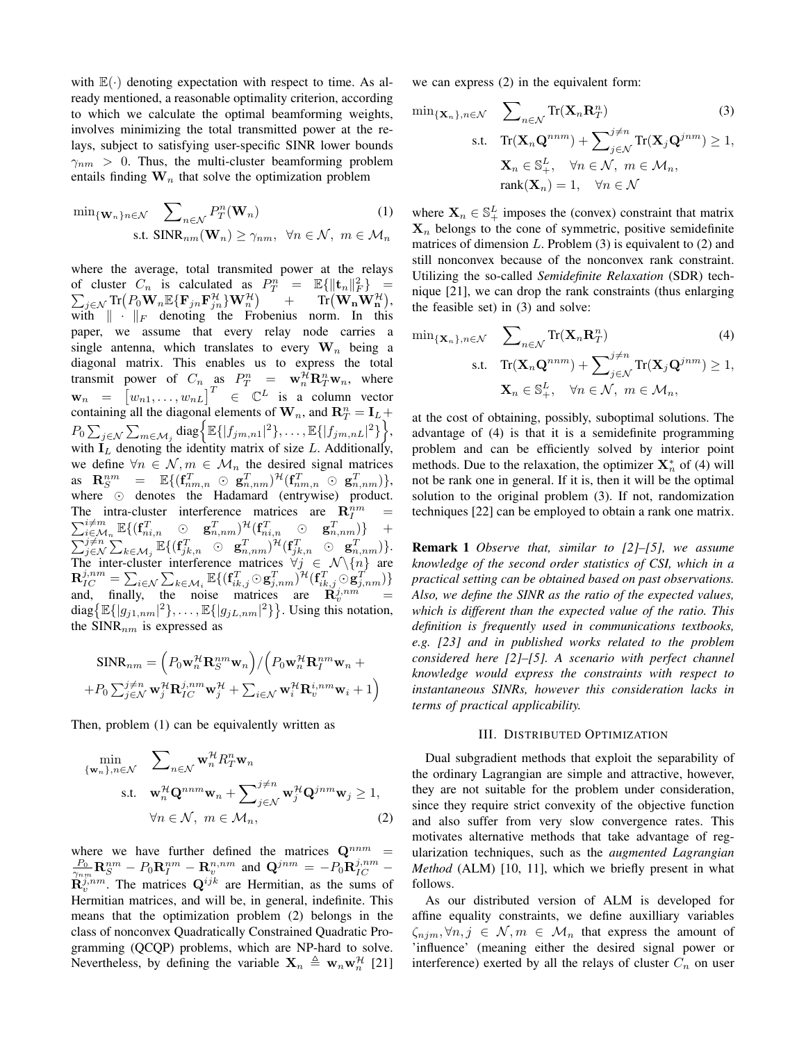with  $\mathbb{E}(\cdot)$  denoting expectation with respect to time. As already mentioned, a reasonable optimality criterion, according to which we calculate the optimal beamforming weights, involves minimizing the total transmitted power at the relays, subject to satisfying user-specific SINR lower bounds  $\gamma_{nm} > 0$ . Thus, the multi-cluster beamforming problem entails finding  $\mathbf{W}_n$  that solve the optimization problem

$$
\min_{\{\mathbf{W}_n\}_n \in \mathcal{N}} \sum_{n \in \mathcal{N}} P_T^n(\mathbf{W}_n)
$$
\ns.t. 
$$
\text{SINR}_{nm}(\mathbf{W}_n) \geq \gamma_{nm}, \ \forall n \in \mathcal{N}, \ m \in \mathcal{M}_n
$$

where the average, total transmited power at the relays of cluster  $C_n$  is calculated as  $P_T^n = \mathbb{E}\{\|\mathbf{t}_n\|_F^2\} =$  $\sum_{j \in \mathcal{N}} \text{Tr} \bigl( P_0 \mathbf{W}_n \mathbb{E} \{\mathbf{F}_{jn} \mathbf{F}_{jn}^\mathcal{H} \} \mathbf{W}_n^\mathcal{H} \bigr)$  $+\qquad\mathrm{Tr}\big(\mathbf{W_n}\mathbf{W_n^{\mathcal{H}}}\big),$ with  $\|\cdot\|_F$  denoting the Frobenius norm. In this paper, we assume that every relay node carries a single antenna, which translates to every  $W_n$  being a diagonal matrix. This enables us to express the total transmit power of  $C_n$  as  $P_T^n = \mathbf{w}_n^H \mathbf{R}_T^n \mathbf{w}_n$ , where  $\mathbf{w}_n = \begin{bmatrix} w_{n1}, \dots, w_{nL} \end{bmatrix}^T \in \mathbb{C}^L$  is a column vector containing all the diagonal elements of  $W_n$ , and  $\mathbb{R}^n_T = I_L +$  $P_0 \sum_{j \in \mathcal{N}} \sum_{m \in \mathcal{M}_j} \text{diag} \big\{ \mathbb{E} \{ |f_{jm,n1}|^2 \}, \dots, \mathbb{E} \{ |f_{jm,nL}|^2 \} \big\},$ with  $I_L$  denoting the identity matrix of size L. Additionally, we define  $\forall n \in \mathcal{N}, m \in \mathcal{M}_n$  the desired signal matrices  $\qquad \qquad \text{as} \quad \mathbf{R}^{nm}_{S} \quad = \quad \mathbb{E}\{ (\mathbf{f}_{nm,n}^T \; \odot \; \mathbf{g}_{n,nm}^T)^{\mathcal{H}} (\mathbf{f}_{nm,n}^T \; \odot \; \mathbf{g}_{n,nm}^T) \},$ where  $\odot$  denotes the Hadamard (entrywise) product. The intra-cluster interference matrices are  $\mathbf{R}_{I}^{nm}$ P e intra-cluster interference matrices are  $\mathbf{R}_I^{nm} = \frac{i \neq m}{i \in \mathcal{M}_n} \mathbb{E}\{(\mathbf{f}_{ni,n}^T \ \odot \ \mathbf{g}_{n,nm}^T)^{\mathcal{H}}(\mathbf{f}_{ni,n}^T \ \odot \ \mathbf{g}_{n,nm}^T)\}$  +  $\sum_{j\in\mathcal{N}}\sum_{k\in\mathcal{M}_j}\mathbb{E}\{(\mathbf{f}_{jk,n}^T \quad \odot \quad \mathbf{g}_{n,nm}^T)^{\mathcal{H}}(\mathbf{f}_{jk,n}^T \quad \odot \quad \mathbf{g}_{n,nm}^T)\}.$ The inter-cluster interference matrices  $\forall j \in \mathcal{N}\backslash\{n\}$  are  $\mathbf{R}_{IC}^{j,nm}=\sum_{i\in\mathcal{N}}\sum_{k\in\mathcal{M}_i}\mathbb{E}\{(\mathbf{f}_{ik,j}^T\odot\mathbf{g}_{j,nm}^T)^{\mathcal{H}}(\mathbf{f}_{ik,j}^T\odot\mathbf{g}_{j,nm}^T)\}$ and, finally, the noise matrices are  $\tilde{\mathbf{R}}_v^{j,nm'}$  = diag $\{\mathbb{E}\{|g_{j1,nm}|^2\},\ldots,\mathbb{E}\{|g_{jL,nm}|^2\}\}\.$  Using this notation, the  $SINR_{nm}$  is expressed as

$$
\begin{aligned} \text{SINR}_{nm} &= \Big( P_0 \mathbf{w}_n^{\mathcal{H}} \mathbf{R}_S^{nm} \mathbf{w}_n \Big) / \Big( P_0 \mathbf{w}_n^{\mathcal{H}} \mathbf{R}_I^{nm} \mathbf{w}_n + \\ + P_0 \sum_{j \in \mathcal{N}} \mathbf{w}_j^{\mathcal{H}} \mathbf{R}_{IC}^{j,nm} \mathbf{w}_j^{\mathcal{H}} + \sum_{i \in \mathcal{N}} \mathbf{w}_i^{\mathcal{H}} \mathbf{R}_v^{i,nm} \mathbf{w}_i + 1 \Big) \end{aligned}
$$

Then, problem (1) can be equivalently written as

$$
\min_{\{\mathbf{w}_n\}, n \in \mathcal{N}} \quad \sum_{n \in \mathcal{N}} \mathbf{w}_n^{\mathcal{H}} R_T^n \mathbf{w}_n
$$
\n
$$
\text{s.t.} \quad \mathbf{w}_n^{\mathcal{H}} \mathbf{Q}^{nnm} \mathbf{w}_n + \sum_{j \in \mathcal{N}} j \neq n \mathbf{w}_j^{\mathcal{H}} \mathbf{Q}^{jnm} \mathbf{w}_j \ge 1,
$$
\n
$$
\forall n \in \mathcal{N}, \ m \in \mathcal{M}_n,
$$
\n(2)

where we have further defined the matrices  $\mathbf{Q}^{nnm}$  $\frac{P_0}{\gamma_{nm}}{\bf R}_S^{nm}-P_0{\bf R}_I^{nm}-{\bf R}_v^{n,nm}$  and  ${\bf Q}^{jnm}=-P_0{\bf R}_{IC}^{j,nm}$  –  $\mathbf{R}_{v}^{j,nm}$ . The matrices  $\mathbf{Q}^{ijk}$  are Hermitian, as the sums of Hermitian matrices, and will be, in general, indefinite. This means that the optimization problem (2) belongs in the class of nonconvex Quadratically Constrained Quadratic Programming (QCQP) problems, which are NP-hard to solve. Nevertheless, by defining the variable  $X_n \triangleq w_n w_n^{\mathcal{H}}$  [21]

we can express (2) in the equivalent form:

$$
\min_{\{\mathbf{X}_n\}, n \in \mathcal{N}} \sum_{n \in \mathcal{N}} \text{Tr}(\mathbf{X}_n \mathbf{R}_T^n) \tag{3}
$$
\n
$$
\text{s.t.} \quad \text{Tr}(\mathbf{X}_n \mathbf{Q}^{nnm}) + \sum_{j \in \mathcal{N}} j \neq n \text{Tr}(\mathbf{X}_j \mathbf{Q}^{jnm}) \ge 1,
$$
\n
$$
\mathbf{X}_n \in \mathbb{S}_+^L, \quad \forall n \in \mathcal{N}, \ m \in \mathcal{M}_n,
$$
\n
$$
\text{rank}(\mathbf{X}_n) = 1, \quad \forall n \in \mathcal{N}
$$

where  $X_n \in \mathbb{S}_+^L$  imposes the (convex) constraint that matrix  $X_n$  belongs to the cone of symmetric, positive semidefinite matrices of dimension  $L$ . Problem  $(3)$  is equivalent to  $(2)$  and still nonconvex because of the nonconvex rank constraint. Utilizing the so-called *Semidefinite Relaxation* (SDR) technique [21], we can drop the rank constraints (thus enlarging the feasible set) in (3) and solve:

$$
\min_{\{\mathbf{X}_n\}, n \in \mathcal{N}} \quad \sum_{n \in \mathcal{N}} \text{Tr}(\mathbf{X}_n \mathbf{R}_T^n) \tag{4}
$$
\n
$$
\text{s.t.} \quad \text{Tr}(\mathbf{X}_n \mathbf{Q}^{nnm}) + \sum_{j \in \mathcal{N}} \text{Tr}(\mathbf{X}_j \mathbf{Q}^{jnm}) \ge 1,
$$
\n
$$
\mathbf{X}_n \in \mathbb{S}_+^L, \quad \forall n \in \mathcal{N}, \ m \in \mathcal{M}_n,
$$

at the cost of obtaining, possibly, suboptimal solutions. The advantage of (4) is that it is a semidefinite programming problem and can be efficiently solved by interior point methods. Due to the relaxation, the optimizer  $\mathbf{X}_n^*$  of (4) will not be rank one in general. If it is, then it will be the optimal solution to the original problem (3). If not, randomization techniques [22] can be employed to obtain a rank one matrix.

Remark 1 *Observe that, similar to [2]–[5], we assume knowledge of the second order statistics of CSI, which in a practical setting can be obtained based on past observations. Also, we define the SINR as the ratio of the expected values, which is different than the expected value of the ratio. This definition is frequently used in communications textbooks, e.g. [23] and in published works related to the problem considered here [2]–[5]. A scenario with perfect channel knowledge would express the constraints with respect to instantaneous SINRs, however this consideration lacks in terms of practical applicability.*

#### III. DISTRIBUTED OPTIMIZATION

Dual subgradient methods that exploit the separability of the ordinary Lagrangian are simple and attractive, however, they are not suitable for the problem under consideration, since they require strict convexity of the objective function and also suffer from very slow convergence rates. This motivates alternative methods that take advantage of regularization techniques, such as the *augmented Lagrangian Method* (ALM) [10, 11], which we briefly present in what follows.

As our distributed version of ALM is developed for affine equality constraints, we define auxilliary variables  $\zeta_{njm}, \forall n, j \in \mathcal{N}, m \in \mathcal{M}_n$  that express the amount of 'influence' (meaning either the desired signal power or interference) exerted by all the relays of cluster  $C_n$  on user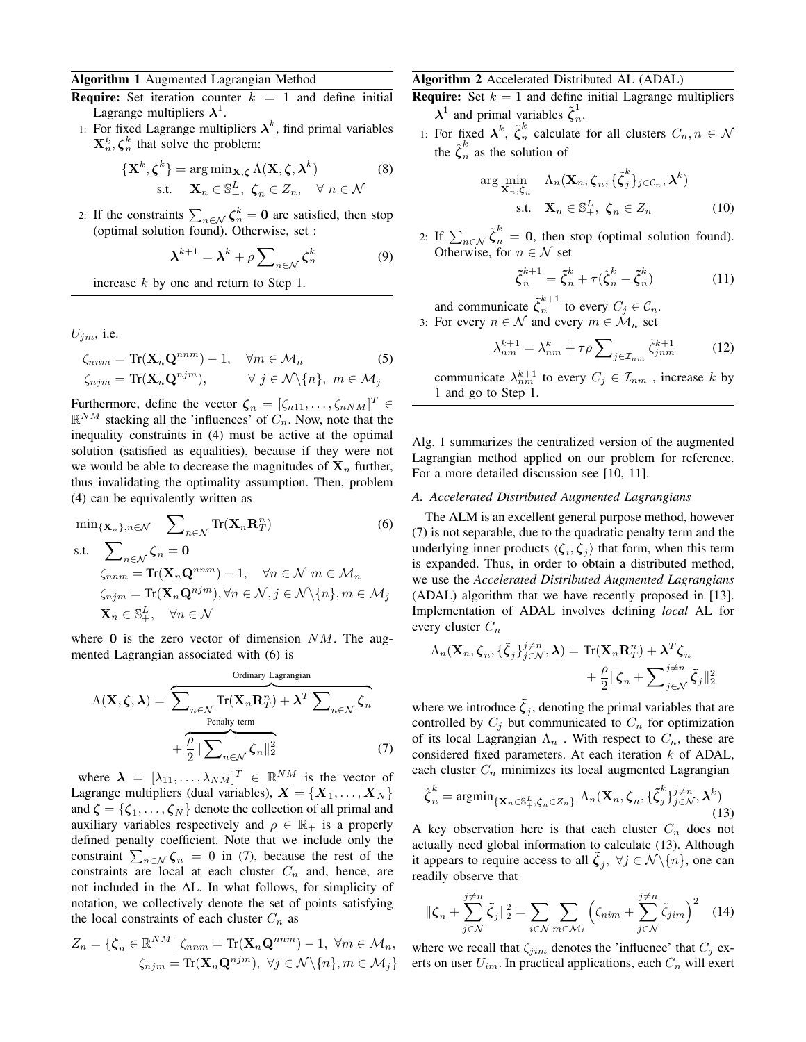#### Algorithm 1 Augmented Lagrangian Method

- **Require:** Set iteration counter  $k = 1$  and define initial Lagrange multipliers  $\lambda^1$ .
- 1: For fixed Lagrange multipliers  $\lambda^k$ , find primal variables  $\mathbf{X}_n^k, \boldsymbol{\zeta}_n^k$  that solve the problem:

$$
\left\{ \mathbf{X}^{k}, \boldsymbol{\zeta}^{k} \right\} = \arg \min_{\mathbf{X}, \boldsymbol{\zeta}} \Lambda(\mathbf{X}, \boldsymbol{\zeta}, \boldsymbol{\lambda}^{k}) \tag{8}
$$
  
s.t.  $\mathbf{X}_{n} \in \mathbb{S}_{+}^{L}, \ \boldsymbol{\zeta}_{n} \in Z_{n}, \ \ \forall \ n \in \mathcal{N}$ 

2: If the constraints  $\sum_{n \in \mathcal{N}} \zeta_n^k = 0$  are satisfied, then stop (optimal solution found). Otherwise, set :

$$
\boldsymbol{\lambda}^{k+1} = \boldsymbol{\lambda}^k + \rho \sum\nolimits_{n \in \mathcal{N}} \boldsymbol{\zeta}_n^k \tag{9}
$$

increase  $k$  by one and return to Step 1.

 $U_{im}$ , i.e.

$$
\zeta_{nnm} = \text{Tr}(\mathbf{X}_n \mathbf{Q}^{nnm}) - 1, \quad \forall m \in \mathcal{M}_n
$$
  
\n
$$
\zeta_{njm} = \text{Tr}(\mathbf{X}_n \mathbf{Q}^{njm}), \qquad \forall j \in \mathcal{N} \setminus \{n\}, \ m \in \mathcal{M}_j
$$

Furthermore, define the vector  $\boldsymbol{\zeta}_n = [\zeta_{n11}, \dots, \zeta_{nNM}]^T \in$  $\mathbb{R}^{NM}$  stacking all the 'influences' of  $C_n$ . Now, note that the inequality constraints in (4) must be active at the optimal solution (satisfied as equalities), because if they were not we would be able to decrease the magnitudes of  $X_n$  further, thus invalidating the optimality assumption. Then, problem (4) can be equivalently written as

$$
\min_{\{\mathbf{X}_n\}, n \in \mathcal{N}} \sum_{n \in \mathcal{N}} \text{Tr}(\mathbf{X}_n \mathbf{R}_T^n)
$$
(6)  
s.t. 
$$
\sum_{n \in \mathcal{N}} \zeta_n = \mathbf{0}
$$

$$
\zeta_{nm} = \text{Tr}(\mathbf{X}_n \mathbf{Q}^{nmm}) - 1, \quad \forall n \in \mathcal{N} \text{ } m \in \mathcal{M}_n
$$

$$
\zeta_{njm} = \text{Tr}(\mathbf{X}_n \mathbf{Q}^{njm}), \forall n \in \mathcal{N}, j \in \mathcal{N} \setminus \{n\}, m \in \mathcal{M}_j
$$

$$
\mathbf{X}_n \in \mathbb{S}_+^L, \quad \forall n \in \mathcal{N}
$$

where  $\bf{0}$  is the zero vector of dimension  $NM$ . The augmented Lagrangian associated with (6) is

Ordinary Lagrangian  
\n
$$
\Lambda(\mathbf{X}, \zeta, \lambda) = \sum_{n \in \mathcal{N}} \text{Tr}(\mathbf{X}_n \mathbf{R}_T^n) + \lambda^T \sum_{n \in \mathcal{N}} \zeta_n
$$
\n
$$
+ \frac{\rho}{2} || \sum_{n \in \mathcal{N}} \zeta_n ||_2^2
$$
\n(7)

where  $\boldsymbol{\lambda} = [\lambda_{11}, \dots, \lambda_{NM}]^T \in \mathbb{R}^{NM}$  is the vector of Lagrange multipliers (dual variables),  $X = \{X_1, \ldots, X_N\}$ and  $\boldsymbol{\zeta} = {\zeta_1, \ldots, \zeta_N}$  denote the collection of all primal and auxiliary variables respectively and  $\rho \in \mathbb{R}_+$  is a properly defined penalty coefficient. Note that we include only the constraint  $\sum_{n \in \mathcal{N}} \zeta_n = 0$  in (7), because the rest of the constraints are local at each cluster  $C_n$  and, hence, are not included in the AL. In what follows, for simplicity of notation, we collectively denote the set of points satisfying the local constraints of each cluster  $C_n$  as

$$
Z_n = \{ \zeta_n \in \mathbb{R}^{NM} | \zeta_{nnm} = \text{Tr}(\mathbf{X}_n \mathbf{Q}^{nnm}) - 1, \ \forall m \in \mathcal{M}_n, \\ \zeta_{njm} = \text{Tr}(\mathbf{X}_n \mathbf{Q}^{njm}), \ \forall j \in \mathcal{N} \setminus \{n\}, m \in \mathcal{M}_j \}
$$

#### Algorithm 2 Accelerated Distributed AL (ADAL)

**Require:** Set  $k = 1$  and define initial Lagrange multipliers  $\lambda^1$  and primal variables  $\tilde{\zeta}_n^1$ n .

1: For fixed  $\lambda^k$ ,  $\tilde{\zeta}_n^k$  $\int_{n}^{\infty}$  calculate for all clusters  $C_n, n \in \mathcal{N}$ the  $\hat{\boldsymbol{\zeta}}_n^k$  $\sum_{n=1}^{\infty}$  as the solution of

$$
\arg\min_{\mathbf{X}_n,\zeta_n} \quad \Lambda_n(\mathbf{X}_n,\zeta_n,\{\tilde{\zeta}_j^k\}_{j\in\mathcal{C}_n},\boldsymbol{\lambda}^k)
$$
\ns.t.

\n
$$
\mathbf{X}_n \in \mathbb{S}_+^L, \ \zeta_n \in Z_n
$$
\n(10)

2: If  $\sum_{n\in\mathcal{N}}\tilde{\zeta}_n^k=0$ , then stop (optimal solution found). Otherwise, for  $n \in \mathcal{N}$  set

$$
\tilde{\zeta}_n^{k+1} = \tilde{\zeta}_n^k + \tau (\hat{\zeta}_n^k - \tilde{\zeta}_n^k)
$$
 (11)

and communicate  $\zeta_n^{k+1}$  $n^{n+1}$  to every  $C_j \in \mathcal{C}_n$ . 3: For every  $n \in \mathcal{N}$  and every  $m \in \mathcal{M}_n$  set

$$
\lambda_{nm}^{k+1} = \lambda_{nm}^k + \tau \rho \sum_{j \in \mathcal{I}_{nm}} \tilde{\zeta}_{jnm}^{k+1}
$$
 (12)

communicate  $\lambda_{nm}^{k+1}$  to every  $C_j \in \mathcal{I}_{nm}$ , increase k by 1 and go to Step 1.

Alg. 1 summarizes the centralized version of the augmented Lagrangian method applied on our problem for reference. For a more detailed discussion see [10, 11].

## *A. Accelerated Distributed Augmented Lagrangians*

The ALM is an excellent general purpose method, however (7) is not separable, due to the quadratic penalty term and the underlying inner products  $\langle \zeta_i, \zeta_j \rangle$  that form, when this term is expanded. Thus, in order to obtain a distributed method, we use the *Accelerated Distributed Augmented Lagrangians* (ADAL) algorithm that we have recently proposed in [13]. Implementation of ADAL involves defining *local* AL for every cluster  $C_n$ 

$$
\Lambda_n(\mathbf{X}_n, \boldsymbol{\zeta}_n, \{\tilde{\boldsymbol{\zeta}}_j\}_{j \in \mathcal{N}}^{j \neq n}, \boldsymbol{\lambda}) = \text{Tr}(\mathbf{X}_n \mathbf{R}_T^n) + \boldsymbol{\lambda}^T \boldsymbol{\zeta}_n + \frac{\rho}{2} \|\boldsymbol{\zeta}_n + \sum_{j \in \mathcal{N}}^{j \neq n} \tilde{\boldsymbol{\zeta}}_j\|_2^2
$$

where we introduce  $\tilde{\zeta}_j$ , denoting the primal variables that are controlled by  $C_j$  but communicated to  $C_n$  for optimization of its local Lagrangian  $\Lambda_n$ . With respect to  $C_n$ , these are considered fixed parameters. At each iteration  $k$  of ADAL, each cluster  $C_n$  minimizes its local augmented Lagrangian

$$
\hat{\boldsymbol{\zeta}}_n^k = \operatorname{argmin}_{\{\mathbf{X}_n \in \mathbb{S}_+^L, \boldsymbol{\zeta}_n \in Z_n\}} \Lambda_n(\mathbf{X}_n, \boldsymbol{\zeta}_n, \{\tilde{\boldsymbol{\zeta}}_j^k\}_{j \in \mathcal{N}}^{j \neq n}, \boldsymbol{\lambda}^k)
$$
\n(13)

A key observation here is that each cluster  $C_n$  does not actually need global information to calculate (13). Although it appears to require access to all  $\tilde{\zeta}_j$ ,  $\forall j \in \mathcal{N} \backslash \{n\}$ , one can readily observe that

$$
\|\zeta_n + \sum_{j \in \mathcal{N}}^{j \neq n} \tilde{\zeta}_j\|_2^2 = \sum_{i \in \mathcal{N}} \sum_{m \in \mathcal{M}_i} \left( \zeta_{nim} + \sum_{j \in \mathcal{N}}^{j \neq n} \tilde{\zeta}_{jim} \right)^2 \quad (14)
$$

where we recall that  $\zeta_{jim}$  denotes the 'influence' that  $C_j$  exerts on user  $U_{im}$ . In practical applications, each  $C_n$  will exert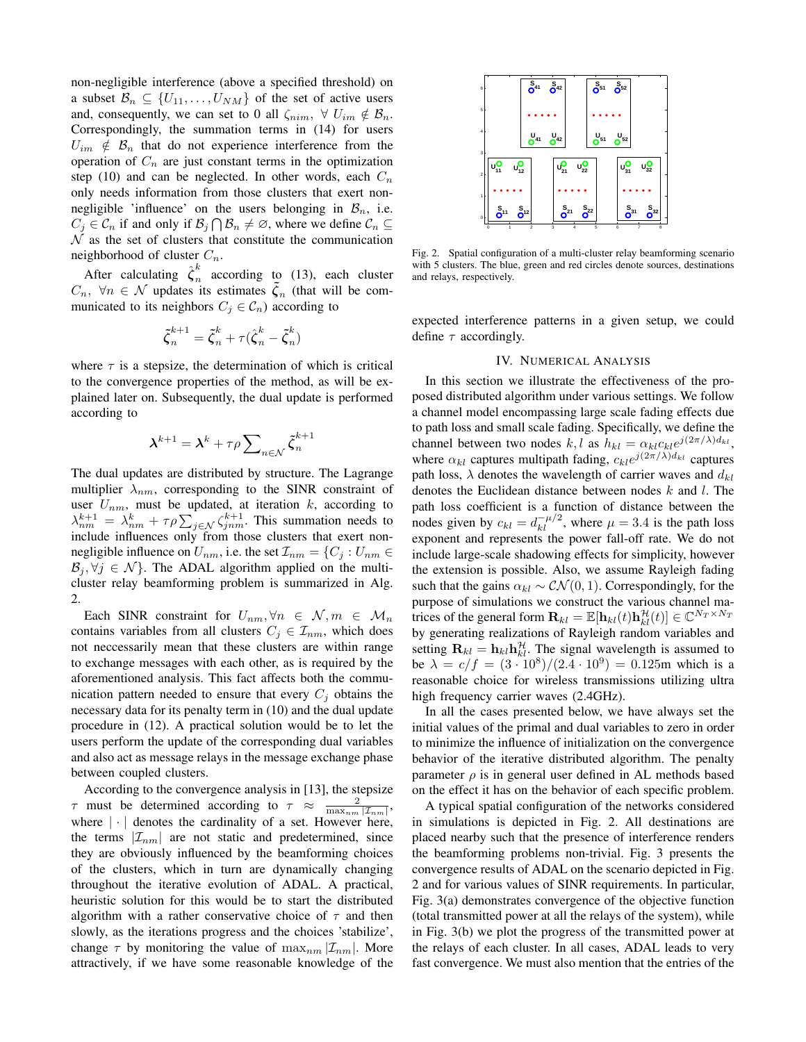non-negligible interference (above a specified threshold) on a subset  $\mathcal{B}_n \subseteq \{U_{11}, \ldots, U_{NM}\}\$  of the set of active users and, consequently, we can set to 0 all  $\zeta_{nim}$ ,  $\forall U_{im} \notin \mathcal{B}_n$ . Correspondingly, the summation terms in (14) for users  $U_{im} \notin \mathcal{B}_n$  that do not experience interference from the operation of  $C_n$  are just constant terms in the optimization step (10) and can be neglected. In other words, each  $C_n$ only needs information from those clusters that exert nonnegligible 'influence' on the users belonging in  $\mathcal{B}_n$ , i.e.  $C_j \in \mathcal{C}_n$  if and only if  $\mathcal{B}_j \cap \mathcal{B}_n \neq \emptyset$ , where we define  $\mathcal{C}_n \subseteq$  $N$  as the set of clusters that constitute the communication neighborhood of cluster  $C_n$ .

After calculating  $\hat{\zeta}_n^k$  $\sum_{n=1}^{\infty}$  according to (13), each cluster  $C_n$ ,  $\forall n \in \mathcal{N}$  updates its estimates  $\tilde{\zeta}_n$  (that will be communicated to its neighbors  $C_j \in \mathcal{C}_n$ ) according to

$$
\tilde{\boldsymbol{\zeta}}_n^{k+1} = \tilde{\boldsymbol{\zeta}}_n^k + \tau(\hat{\boldsymbol{\zeta}}_n^k - \tilde{\boldsymbol{\zeta}}_n^k)
$$

where  $\tau$  is a stepsize, the determination of which is critical to the convergence properties of the method, as will be explained later on. Subsequently, the dual update is performed according to

$$
\boldsymbol{\lambda}^{k+1} = \boldsymbol{\lambda}^k + \tau \rho \sum\nolimits_{n \in \mathcal{N}} \tilde{\boldsymbol{\zeta}}_n^{k+1}
$$

The dual updates are distributed by structure. The Lagrange multiplier  $\lambda_{nm}$ , corresponding to the SINR constraint of user  $U_{nm}$ , must be updated, at iteration k, according to  $\lambda_{nm}^{k+1} = \lambda_{nm}^k + \tau \rho \sum_{j \in \mathcal{N}} \zeta_{jnm}^{k+1}$ . This summation needs to include influences only from those clusters that exert nonnegligible influence on  $U_{nm}$ , i.e. the set  $\mathcal{I}_{nm} = \{C_j : U_{nm} \in$  $\mathcal{B}_i, \forall j \in \mathcal{N}$ . The ADAL algorithm applied on the multicluster relay beamforming problem is summarized in Alg. 2.

Each SINR constraint for  $U_{nm}, \forall n \in \mathcal{N}, m \in \mathcal{M}_n$ contains variables from all clusters  $C_j \in \mathcal{I}_{nm}$ , which does not neccessarily mean that these clusters are within range to exchange messages with each other, as is required by the aforementioned analysis. This fact affects both the communication pattern needed to ensure that every  $C_j$  obtains the necessary data for its penalty term in (10) and the dual update procedure in (12). A practical solution would be to let the users perform the update of the corresponding dual variables and also act as message relays in the message exchange phase between coupled clusters.

According to the convergence analysis in [13], the stepsize  $\tau$  must be determined according to  $\tau \approx \frac{2}{\max_{nm} |\mathcal{I}_{nm}|},$ where  $|\cdot|$  denotes the cardinality of a set. However here, the terms  $|\mathcal{I}_{nm}|$  are not static and predetermined, since they are obviously influenced by the beamforming choices of the clusters, which in turn are dynamically changing throughout the iterative evolution of ADAL. A practical, heuristic solution for this would be to start the distributed algorithm with a rather conservative choice of  $\tau$  and then slowly, as the iterations progress and the choices 'stabilize', change  $\tau$  by monitoring the value of  $\max_{nm} |\mathcal{I}_{nm}|$ . More attractively, if we have some reasonable knowledge of the



Fig. 2. Spatial configuration of a multi-cluster relay beamforming scenario with 5 clusters. The blue, green and red circles denote sources, destinations and relays, respectively.

expected interference patterns in a given setup, we could define  $\tau$  accordingly.

## IV. NUMERICAL ANALYSIS

In this section we illustrate the effectiveness of the proposed distributed algorithm under various settings. We follow a channel model encompassing large scale fading effects due to path loss and small scale fading. Specifically, we define the channel between two nodes  $k, l$  as  $h_{kl} = \alpha_{kl} c_{kl} e^{j(2\pi/\lambda) d_{kl}}$ , where  $\alpha_{kl}$  captures multipath fading,  $c_{kl}e^{j(2\pi/\lambda)d_{kl}}$  captures path loss,  $\lambda$  denotes the wavelength of carrier waves and  $d_{kl}$ denotes the Euclidean distance between nodes  $k$  and  $l$ . The path loss coefficient is a function of distance between the nodes given by  $c_{kl} = d_{kl}^{-\mu/2}$ , where  $\mu = 3.4$  is the path loss exponent and represents the power fall-off rate. We do not include large-scale shadowing effects for simplicity, however the extension is possible. Also, we assume Rayleigh fading such that the gains  $\alpha_{kl} \sim \mathcal{CN}(0, 1)$ . Correspondingly, for the purpose of simulations we construct the various channel matrices of the general form  $\mathbf{R}_{kl} = \mathbb{E}[\mathbf{h}_{kl}(t)\mathbf{h}_{kl}^{\mathcal{H}}(t)] \in \mathbb{C}^{N_T \times N_T}$ by generating realizations of Rayleigh random variables and setting  $\mathbf{R}_{kl} = \mathbf{h}_{kl} \mathbf{h}_{kl}^{\mathcal{H}}$ . The signal wavelength is assumed to be  $\lambda = c/f = (3 \cdot 10^8)/(2.4 \cdot 10^9) = 0.125$ m which is a reasonable choice for wireless transmissions utilizing ultra high frequency carrier waves (2.4GHz).

In all the cases presented below, we have always set the initial values of the primal and dual variables to zero in order to minimize the influence of initialization on the convergence behavior of the iterative distributed algorithm. The penalty parameter  $\rho$  is in general user defined in AL methods based on the effect it has on the behavior of each specific problem.

A typical spatial configuration of the networks considered in simulations is depicted in Fig. 2. All destinations are placed nearby such that the presence of interference renders the beamforming problems non-trivial. Fig. 3 presents the convergence results of ADAL on the scenario depicted in Fig. 2 and for various values of SINR requirements. In particular, Fig. 3(a) demonstrates convergence of the objective function (total transmitted power at all the relays of the system), while in Fig. 3(b) we plot the progress of the transmitted power at the relays of each cluster. In all cases, ADAL leads to very fast convergence. We must also mention that the entries of the